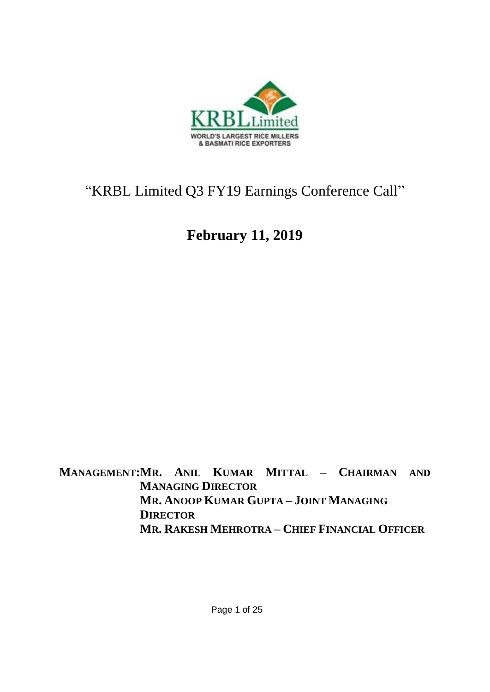

# "KRBL Limited Q3 FY19 Earnings Conference Call"

# **February 11, 2019**

**MANAGEMENT:MR. ANIL KUMAR MITTAL – CHAIRMAN AND MANAGING DIRECTOR MR. ANOOP KUMAR GUPTA – JOINT MANAGING DIRECTOR MR. RAKESH MEHROTRA – CHIEF FINANCIAL OFFICER**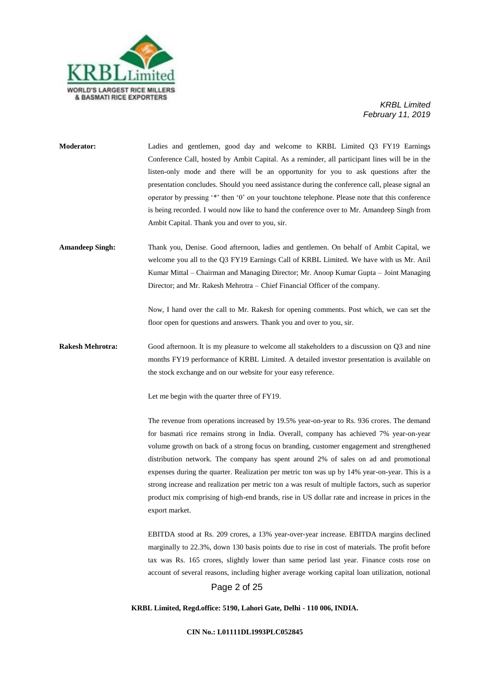

| <b>Moderator:</b>       | Ladies and gentlemen, good day and welcome to KRBL Limited Q3 FY19 Earnings<br>Conference Call, hosted by Ambit Capital. As a reminder, all participant lines will be in the<br>listen-only mode and there will be an opportunity for you to ask questions after the<br>presentation concludes. Should you need assistance during the conference call, please signal an<br>operator by pressing '*' then '0' on your touchtone telephone. Please note that this conference<br>is being recorded. I would now like to hand the conference over to Mr. Amandeep Singh from<br>Ambit Capital. Thank you and over to you, sir.                                                                           |
|-------------------------|------------------------------------------------------------------------------------------------------------------------------------------------------------------------------------------------------------------------------------------------------------------------------------------------------------------------------------------------------------------------------------------------------------------------------------------------------------------------------------------------------------------------------------------------------------------------------------------------------------------------------------------------------------------------------------------------------|
| <b>Amandeep Singh:</b>  | Thank you, Denise. Good afternoon, ladies and gentlemen. On behalf of Ambit Capital, we<br>welcome you all to the Q3 FY19 Earnings Call of KRBL Limited. We have with us Mr. Anil<br>Kumar Mittal – Chairman and Managing Director; Mr. Anoop Kumar Gupta – Joint Managing<br>Director; and Mr. Rakesh Mehrotra - Chief Financial Officer of the company.<br>Now, I hand over the call to Mr. Rakesh for opening comments. Post which, we can set the                                                                                                                                                                                                                                                |
| <b>Rakesh Mehrotra:</b> | floor open for questions and answers. Thank you and over to you, sir.<br>Good afternoon. It is my pleasure to welcome all stakeholders to a discussion on Q3 and nine                                                                                                                                                                                                                                                                                                                                                                                                                                                                                                                                |
|                         | months FY19 performance of KRBL Limited. A detailed investor presentation is available on<br>the stock exchange and on our website for your easy reference.                                                                                                                                                                                                                                                                                                                                                                                                                                                                                                                                          |
|                         | Let me begin with the quarter three of FY19.                                                                                                                                                                                                                                                                                                                                                                                                                                                                                                                                                                                                                                                         |
|                         | The revenue from operations increased by 19.5% year-on-year to Rs. 936 crores. The demand<br>for basmati rice remains strong in India. Overall, company has achieved 7% year-on-year<br>volume growth on back of a strong focus on branding, customer engagement and strengthened<br>distribution network. The company has spent around 2% of sales on ad and promotional<br>expenses during the quarter. Realization per metric ton was up by 14% year-on-year. This is a<br>strong increase and realization per metric ton a was result of multiple factors, such as superior<br>product mix comprising of high-end brands, rise in US dollar rate and increase in prices in the<br>export market. |
|                         | EBITDA stood at Rs. 209 crores, a 13% year-over-year increase. EBITDA margins declined<br>marginally to 22.3%, down 130 basis points due to rise in cost of materials. The profit before<br>tax was Rs. 165 crores, slightly lower than same period last year. Finance costs rose on<br>account of several reasons, including higher average working capital loan utilization, notional<br>Page 2 of 25                                                                                                                                                                                                                                                                                              |

**KRBL Limited, Regd.office: 5190, Lahori Gate, Delhi - 110 006, INDIA.**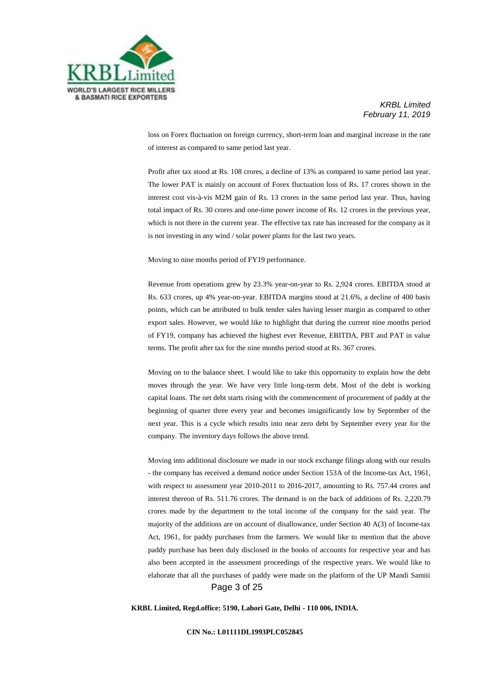

loss on Forex fluctuation on foreign currency, short-term loan and marginal increase in the rate of interest as compared to same period last year.

Profit after tax stood at Rs. 108 crores, a decline of 13% as compared to same period last year. The lower PAT is mainly on account of Forex fluctuation loss of Rs. 17 crores shown in the interest cost vis-à-vis M2M gain of Rs. 13 crores in the same period last year. Thus, having total impact of Rs. 30 crores and one-time power income of Rs. 12 crores in the previous year, which is not there in the current year. The effective tax rate has increased for the company as it is not investing in any wind / solar power plants for the last two years.

Moving to nine months period of FY19 performance.

Revenue from operations grew by 23.3% year-on-year to Rs. 2,924 crores. EBITDA stood at Rs. 633 crores, up 4% year-on-year. EBITDA margins stood at 21.6%, a decline of 400 basis points, which can be attributed to bulk tender sales having lesser margin as compared to other export sales. However, we would like to highlight that during the current nine months period of FY19, company has achieved the highest ever Revenue, EBITDA, PBT and PAT in value terms. The profit after tax for the nine months period stood at Rs. 367 crores.

Moving on to the balance sheet. I would like to take this opportunity to explain how the debt moves through the year. We have very little long-term debt. Most of the debt is working capital loans. The net debt starts rising with the commencement of procurement of paddy at the beginning of quarter three every year and becomes insignificantly low by September of the next year. This is a cycle which results into near zero debt by September every year for the company. The inventory days follows the above trend.

Page 3 of 25 Moving into additional disclosure we made in our stock exchange filings along with our results - the company has received a demand notice under Section 153A of the Income-tax Act, 1961, with respect to assessment year 2010-2011 to 2016-2017, amounting to Rs. 757.44 crores and interest thereon of Rs. 511.76 crores. The demand is on the back of additions of Rs. 2,220.79 crores made by the department to the total income of the company for the said year. The majority of the additions are on account of disallowance, under Section 40 A(3) of Income-tax Act, 1961, for paddy purchases from the farmers. We would like to mention that the above paddy purchase has been duly disclosed in the books of accounts for respective year and has also been accepted in the assessment proceedings of the respective years. We would like to elaborate that all the purchases of paddy were made on the platform of the UP Mandi Samiti

**KRBL Limited, Regd.office: 5190, Lahori Gate, Delhi - 110 006, INDIA.**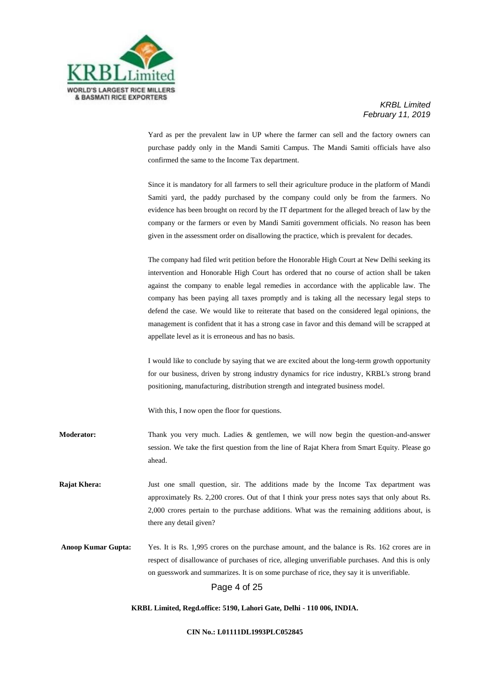

Yard as per the prevalent law in UP where the farmer can sell and the factory owners can purchase paddy only in the Mandi Samiti Campus. The Mandi Samiti officials have also confirmed the same to the Income Tax department.

Since it is mandatory for all farmers to sell their agriculture produce in the platform of Mandi Samiti yard, the paddy purchased by the company could only be from the farmers. No evidence has been brought on record by the IT department for the alleged breach of law by the company or the farmers or even by Mandi Samiti government officials. No reason has been given in the assessment order on disallowing the practice, which is prevalent for decades.

The company had filed writ petition before the Honorable High Court at New Delhi seeking its intervention and Honorable High Court has ordered that no course of action shall be taken against the company to enable legal remedies in accordance with the applicable law. The company has been paying all taxes promptly and is taking all the necessary legal steps to defend the case. We would like to reiterate that based on the considered legal opinions, the management is confident that it has a strong case in favor and this demand will be scrapped at appellate level as it is erroneous and has no basis.

I would like to conclude by saying that we are excited about the long-term growth opportunity for our business, driven by strong industry dynamics for rice industry, KRBL's strong brand positioning, manufacturing, distribution strength and integrated business model.

With this, I now open the floor for questions.

**Moderator:** Thank you very much. Ladies & gentlemen, we will now begin the question-and-answer session. We take the first question from the line of Rajat Khera from Smart Equity. Please go ahead.

**Rajat Khera:** Just one small question, sir. The additions made by the Income Tax department was approximately Rs. 2,200 crores. Out of that I think your press notes says that only about Rs. 2,000 crores pertain to the purchase additions. What was the remaining additions about, is there any detail given?

**Anoop Kumar Gupta:** Yes. It is Rs. 1,995 crores on the purchase amount, and the balance is Rs. 162 crores are in respect of disallowance of purchases of rice, alleging unverifiable purchases. And this is only on guesswork and summarizes. It is on some purchase of rice, they say it is unverifiable.

## Page 4 of 25

#### **KRBL Limited, Regd.office: 5190, Lahori Gate, Delhi - 110 006, INDIA.**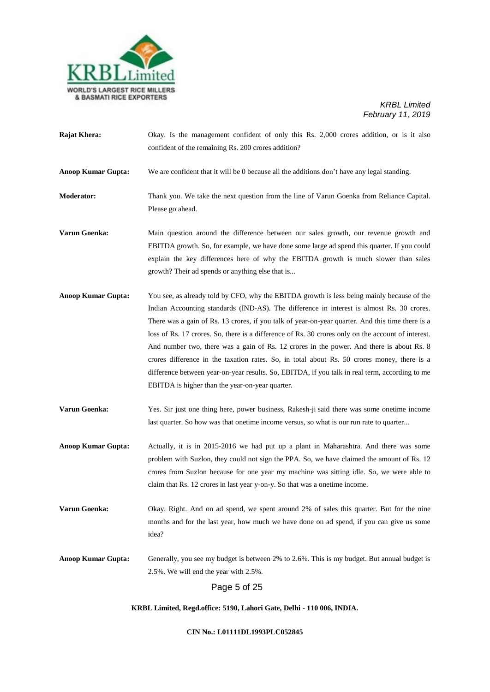

**Rajat Khera:** Okay. Is the management confident of only this Rs. 2,000 crores addition, or is it also confident of the remaining Rs. 200 crores addition?

**Anoop Kumar Gupta:** We are confident that it will be 0 because all the additions don't have any legal standing.

**Moderator:** Thank you. We take the next question from the line of Varun Goenka from Reliance Capital. Please go ahead.

- **Varun Goenka:** Main question around the difference between our sales growth, our revenue growth and EBITDA growth. So, for example, we have done some large ad spend this quarter. If you could explain the key differences here of why the EBITDA growth is much slower than sales growth? Their ad spends or anything else that is...
- **Anoop Kumar Gupta:** You see, as already told by CFO, why the EBITDA growth is less being mainly because of the Indian Accounting standards (IND-AS). The difference in interest is almost Rs. 30 crores. There was a gain of Rs. 13 crores, if you talk of year-on-year quarter. And this time there is a loss of Rs. 17 crores. So, there is a difference of Rs. 30 crores only on the account of interest. And number two, there was a gain of Rs. 12 crores in the power. And there is about Rs. 8 crores difference in the taxation rates. So, in total about Rs. 50 crores money, there is a difference between year-on-year results. So, EBITDA, if you talk in real term, according to me EBITDA is higher than the year-on-year quarter.

**Varun Goenka:** Yes. Sir just one thing here, power business, Rakesh-ji said there was some onetime income last quarter. So how was that onetime income versus, so what is our run rate to quarter...

**Anoop Kumar Gupta:** Actually, it is in 2015-2016 we had put up a plant in Maharashtra. And there was some problem with Suzlon, they could not sign the PPA. So, we have claimed the amount of Rs. 12 crores from Suzlon because for one year my machine was sitting idle. So, we were able to claim that Rs. 12 crores in last year y-on-y. So that was a onetime income.

**Varun Goenka:** Okay. Right. And on ad spend, we spent around 2% of sales this quarter. But for the nine months and for the last year, how much we have done on ad spend, if you can give us some idea?

**Anoop Kumar Gupta:** Generally, you see my budget is between 2% to 2.6%. This is my budget. But annual budget is 2.5%. We will end the year with 2.5%.

Page 5 of 25

**KRBL Limited, Regd.office: 5190, Lahori Gate, Delhi - 110 006, INDIA.**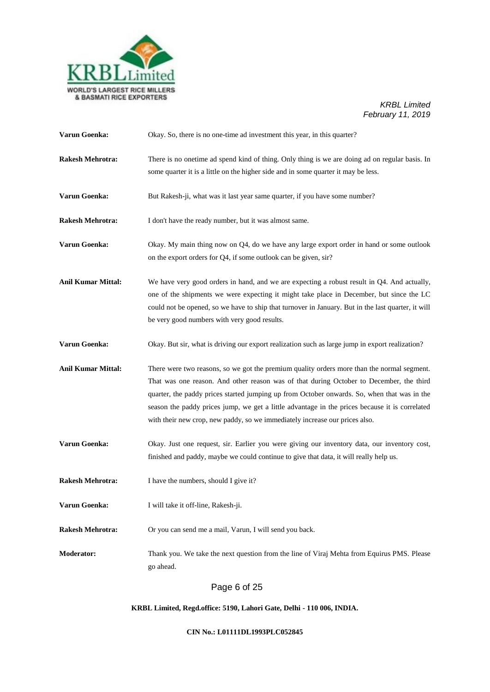

| Varun Goenka:             | Okay. So, there is no one-time ad investment this year, in this quarter?                                                                                                                                                                                                                                                                                                                                                                                              |
|---------------------------|-----------------------------------------------------------------------------------------------------------------------------------------------------------------------------------------------------------------------------------------------------------------------------------------------------------------------------------------------------------------------------------------------------------------------------------------------------------------------|
| <b>Rakesh Mehrotra:</b>   | There is no one time ad spend kind of thing. Only thing is we are doing ad on regular basis. In<br>some quarter it is a little on the higher side and in some quarter it may be less.                                                                                                                                                                                                                                                                                 |
| Varun Goenka:             | But Rakesh-ji, what was it last year same quarter, if you have some number?                                                                                                                                                                                                                                                                                                                                                                                           |
| <b>Rakesh Mehrotra:</b>   | I don't have the ready number, but it was almost same.                                                                                                                                                                                                                                                                                                                                                                                                                |
| Varun Goenka:             | Okay. My main thing now on Q4, do we have any large export order in hand or some outlook<br>on the export orders for Q4, if some outlook can be given, sir?                                                                                                                                                                                                                                                                                                           |
| <b>Anil Kumar Mittal:</b> | We have very good orders in hand, and we are expecting a robust result in Q4. And actually,<br>one of the shipments we were expecting it might take place in December, but since the LC<br>could not be opened, so we have to ship that turnover in January. But in the last quarter, it will<br>be very good numbers with very good results.                                                                                                                         |
| Varun Goenka:             | Okay. But sir, what is driving our export realization such as large jump in export realization?                                                                                                                                                                                                                                                                                                                                                                       |
| <b>Anil Kumar Mittal:</b> | There were two reasons, so we got the premium quality orders more than the normal segment.<br>That was one reason. And other reason was of that during October to December, the third<br>quarter, the paddy prices started jumping up from October onwards. So, when that was in the<br>season the paddy prices jump, we get a little advantage in the prices because it is correlated<br>with their new crop, new paddy, so we immediately increase our prices also. |
| Varun Goenka:             | Okay. Just one request, sir. Earlier you were giving our inventory data, our inventory cost,<br>finished and paddy, maybe we could continue to give that data, it will really help us.                                                                                                                                                                                                                                                                                |
| <b>Rakesh Mehrotra:</b>   | I have the numbers, should I give it?                                                                                                                                                                                                                                                                                                                                                                                                                                 |
| Varun Goenka:             | I will take it off-line, Rakesh-ji.                                                                                                                                                                                                                                                                                                                                                                                                                                   |
| <b>Rakesh Mehrotra:</b>   | Or you can send me a mail, Varun, I will send you back.                                                                                                                                                                                                                                                                                                                                                                                                               |
| <b>Moderator:</b>         | Thank you. We take the next question from the line of Viraj Mehta from Equirus PMS. Please<br>go ahead.                                                                                                                                                                                                                                                                                                                                                               |
|                           | Page 6 of 25                                                                                                                                                                                                                                                                                                                                                                                                                                                          |

# **KRBL Limited, Regd.office: 5190, Lahori Gate, Delhi - 110 006, INDIA.**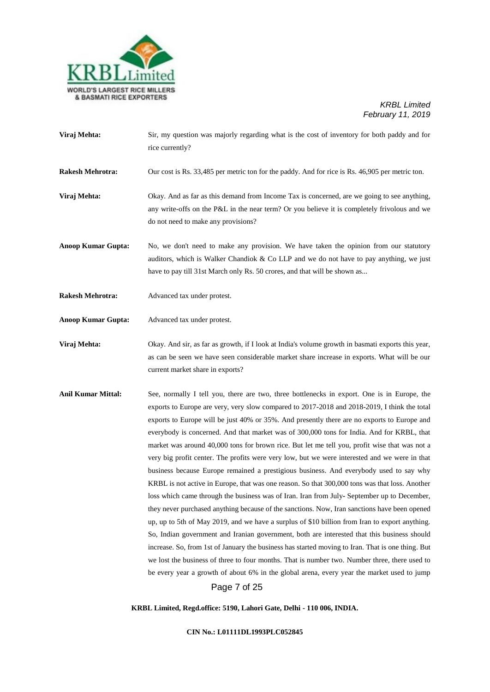

- **Viraj Mehta:** Sir, my question was majorly regarding what is the cost of inventory for both paddy and for rice currently?
- **Rakesh Mehrotra:** Our cost is Rs. 33,485 per metric ton for the paddy. And for rice is Rs. 46,905 per metric ton.
- **Viraj Mehta:** Okay. And as far as this demand from Income Tax is concerned, are we going to see anything, any write-offs on the P&L in the near term? Or you believe it is completely frivolous and we do not need to make any provisions?
- **Anoop Kumar Gupta:** No, we don't need to make any provision. We have taken the opinion from our statutory auditors, which is Walker Chandiok  $&$  Co LLP and we do not have to pay anything, we just have to pay till 31st March only Rs. 50 crores, and that will be shown as...
- **Rakesh Mehrotra:** Advanced tax under protest.
- **Anoop Kumar Gupta:** Advanced tax under protest.
- **Viraj Mehta:** Okay. And sir, as far as growth, if I look at India's volume growth in basmati exports this year, as can be seen we have seen considerable market share increase in exports. What will be our current market share in exports?
- Page 7 of 25 **Anil Kumar Mittal:** See, normally I tell you, there are two, three bottlenecks in export. One is in Europe, the exports to Europe are very, very slow compared to 2017-2018 and 2018-2019, I think the total exports to Europe will be just 40% or 35%. And presently there are no exports to Europe and everybody is concerned. And that market was of 300,000 tons for India. And for KRBL, that market was around 40,000 tons for brown rice. But let me tell you, profit wise that was not a very big profit center. The profits were very low, but we were interested and we were in that business because Europe remained a prestigious business. And everybody used to say why KRBL is not active in Europe, that was one reason. So that 300,000 tons was that loss. Another loss which came through the business was of Iran. Iran from July**-** September up to December, they never purchased anything because of the sanctions. Now, Iran sanctions have been opened up, up to 5th of May 2019, and we have a surplus of \$10 billion from Iran to export anything. So, Indian government and Iranian government, both are interested that this business should increase. So, from 1st of January the business has started moving to Iran. That is one thing. But we lost the business of three to four months. That is number two. Number three, there used to be every year a growth of about 6% in the global arena, every year the market used to jump

**KRBL Limited, Regd.office: 5190, Lahori Gate, Delhi - 110 006, INDIA.**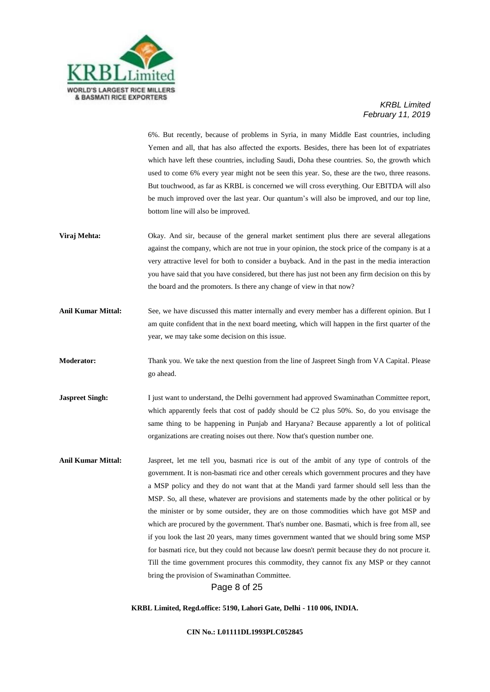

6%. But recently, because of problems in Syria, in many Middle East countries, including Yemen and all, that has also affected the exports. Besides, there has been lot of expatriates which have left these countries, including Saudi, Doha these countries. So, the growth which used to come 6% every year might not be seen this year. So, these are the two, three reasons. But touchwood, as far as KRBL is concerned we will cross everything. Our EBITDA will also be much improved over the last year. Our quantum's will also be improved, and our top line, bottom line will also be improved.

- **Viraj Mehta:** Okay. And sir, because of the general market sentiment plus there are several allegations against the company, which are not true in your opinion, the stock price of the company is at a very attractive level for both to consider a buyback. And in the past in the media interaction you have said that you have considered, but there has just not been any firm decision on this by the board and the promoters. Is there any change of view in that now?
- **Anil Kumar Mittal:** See, we have discussed this matter internally and every member has a different opinion. But I am quite confident that in the next board meeting, which will happen in the first quarter of the year, we may take some decision on this issue.
- **Moderator:** Thank you. We take the next question from the line of Jaspreet Singh from VA Capital. Please go ahead.
- **Jaspreet Singh:** I just want to understand, the Delhi government had approved Swaminathan Committee report, which apparently feels that cost of paddy should be C2 plus 50%. So, do you envisage the same thing to be happening in Punjab and Haryana? Because apparently a lot of political organizations are creating noises out there. Now that's question number one.
- **Anil Kumar Mittal:** Jaspreet, let me tell you, basmati rice is out of the ambit of any type of controls of the government. It is non-basmati rice and other cereals which government procures and they have a MSP policy and they do not want that at the Mandi yard farmer should sell less than the MSP. So, all these, whatever are provisions and statements made by the other political or by the minister or by some outsider, they are on those commodities which have got MSP and which are procured by the government. That's number one. Basmati, which is free from all, see if you look the last 20 years, many times government wanted that we should bring some MSP for basmati rice, but they could not because law doesn't permit because they do not procure it. Till the time government procures this commodity, they cannot fix any MSP or they cannot bring the provision of Swaminathan Committee.

## Page 8 of 25

**KRBL Limited, Regd.office: 5190, Lahori Gate, Delhi - 110 006, INDIA.**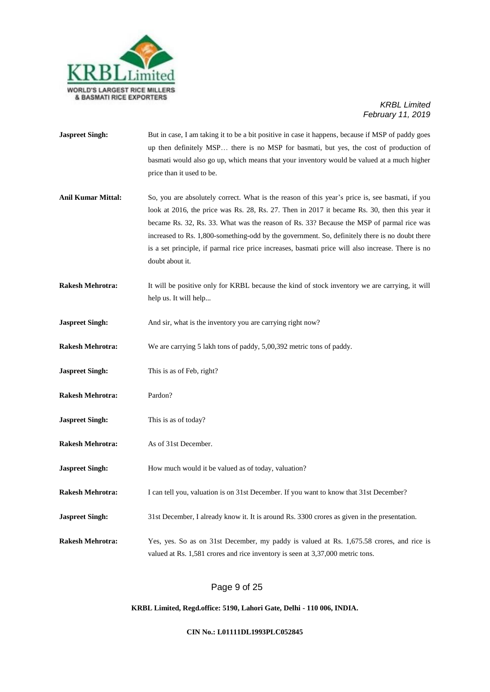

- **Jaspreet Singh:** But in case, I am taking it to be a bit positive in case it happens, because if MSP of paddy goes up then definitely MSP… there is no MSP for basmati, but yes, the cost of production of basmati would also go up, which means that your inventory would be valued at a much higher price than it used to be.
- Anil Kumar Mittal: So, you are absolutely correct. What is the reason of this year's price is, see basmati, if you look at 2016, the price was Rs. 28, Rs. 27. Then in 2017 it became Rs. 30, then this year it became Rs. 32, Rs. 33. What was the reason of Rs. 33? Because the MSP of parmal rice was increased to Rs. 1,800-something-odd by the government. So, definitely there is no doubt there is a set principle, if parmal rice price increases, basmati price will also increase. There is no doubt about it.
- **Rakesh Mehrotra:** It will be positive only for KRBL because the kind of stock inventory we are carrying, it will help us. It will help...
- **Jaspreet Singh:** And sir, what is the inventory you are carrying right now?
- **Rakesh Mehrotra:** We are carrying 5 lakh tons of paddy, 5,00,392 metric tons of paddy.
- **Jaspreet Singh:** This is as of Feb, right?
- **Rakesh Mehrotra:** Pardon?
- **Jaspreet Singh:** This is as of today?
- **Rakesh Mehrotra:** As of 31st December.
- **Jaspreet Singh:** How much would it be valued as of today, valuation?
- **Rakesh Mehrotra:** I can tell you, valuation is on 31st December. If you want to know that 31st December?
- **Jaspreet Singh:** 31st December, I already know it. It is around Rs. 3300 crores as given in the presentation.
- **Rakesh Mehrotra:** Yes, yes. So as on 31st December, my paddy is valued at Rs. 1,675.58 crores, and rice is valued at Rs. 1,581 crores and rice inventory is seen at 3,37,000 metric tons.

## Page 9 of 25

#### **KRBL Limited, Regd.office: 5190, Lahori Gate, Delhi - 110 006, INDIA.**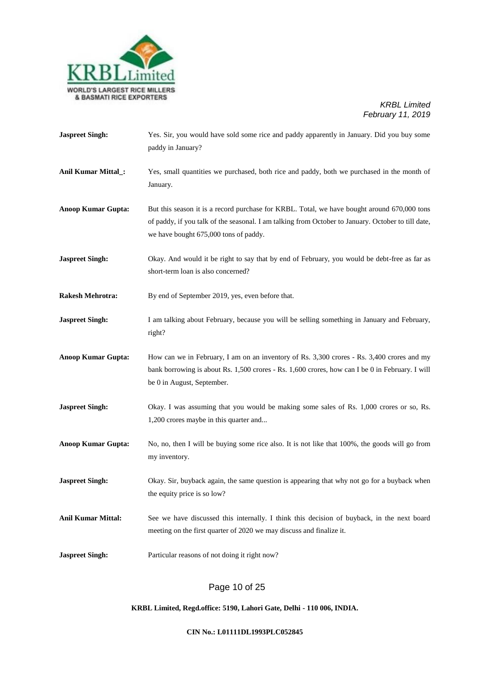

| <b>Jaspreet Singh:</b>    | Yes. Sir, you would have sold some rice and paddy apparently in January. Did you buy some<br>paddy in January?                                                                                                                             |
|---------------------------|--------------------------------------------------------------------------------------------------------------------------------------------------------------------------------------------------------------------------------------------|
| Anil Kumar Mittal_:       | Yes, small quantities we purchased, both rice and paddy, both we purchased in the month of<br>January.                                                                                                                                     |
| <b>Anoop Kumar Gupta:</b> | But this season it is a record purchase for KRBL. Total, we have bought around 670,000 tons<br>of paddy, if you talk of the seasonal. I am talking from October to January. October to till date,<br>we have bought 675,000 tons of paddy. |
| <b>Jaspreet Singh:</b>    | Okay. And would it be right to say that by end of February, you would be debt-free as far as<br>short-term loan is also concerned?                                                                                                         |
| <b>Rakesh Mehrotra:</b>   | By end of September 2019, yes, even before that.                                                                                                                                                                                           |
| <b>Jaspreet Singh:</b>    | I am talking about February, because you will be selling something in January and February,<br>right?                                                                                                                                      |
| <b>Anoop Kumar Gupta:</b> | How can we in February, I am on an inventory of Rs. 3,300 crores - Rs. 3,400 crores and my<br>bank borrowing is about Rs. 1,500 crores - Rs. 1,600 crores, how can I be 0 in February. I will<br>be 0 in August, September.                |
| <b>Jaspreet Singh:</b>    | Okay. I was assuming that you would be making some sales of Rs. 1,000 crores or so, Rs.<br>1,200 crores maybe in this quarter and                                                                                                          |
| <b>Anoop Kumar Gupta:</b> | No, no, then I will be buying some rice also. It is not like that 100%, the goods will go from<br>my inventory.                                                                                                                            |
| <b>Jaspreet Singh:</b>    | Okay. Sir, buyback again, the same question is appearing that why not go for a buyback when<br>the equity price is so low?                                                                                                                 |
| <b>Anil Kumar Mittal:</b> | See we have discussed this internally. I think this decision of buyback, in the next board<br>meeting on the first quarter of 2020 we may discuss and finalize it.                                                                         |
| <b>Jaspreet Singh:</b>    | Particular reasons of not doing it right now?                                                                                                                                                                                              |
|                           |                                                                                                                                                                                                                                            |

# Page 10 of 25

# **KRBL Limited, Regd.office: 5190, Lahori Gate, Delhi - 110 006, INDIA.**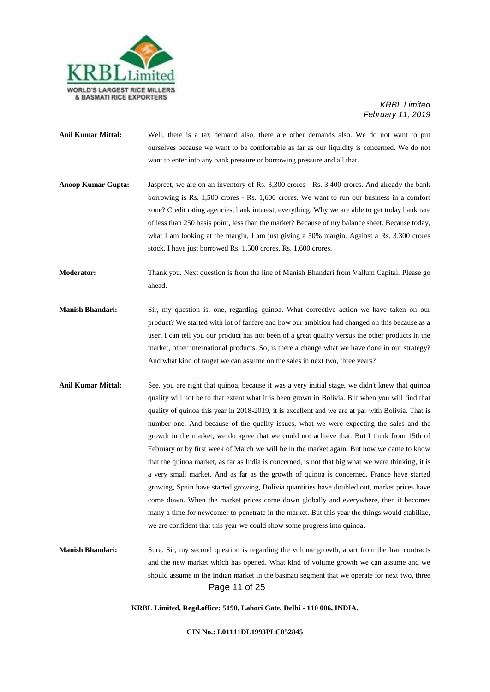

- **Anil Kumar Mittal:** Well, there is a tax demand also, there are other demands also. We do not want to put ourselves because we want to be comfortable as far as our liquidity is concerned. We do not want to enter into any bank pressure or borrowing pressure and all that.
- **Anoop Kumar Gupta:** Jaspreet, we are on an inventory of Rs. 3,300 crores Rs. 3,400 crores. And already the bank borrowing is Rs. 1,500 crores - Rs. 1,600 crores. We want to run our business in a comfort zone? Credit rating agencies, bank interest, everything. Why we are able to get today bank rate of less than 250 basis point, less than the market? Because of my balance sheet. Because today, what I am looking at the margin, I am just giving a 50% margin. Against a Rs. 3,300 crores stock, I have just borrowed Rs. 1,500 crores, Rs. 1,600 crores.
- **Moderator:** Thank you. Next question is from the line of Manish Bhandari from Vallum Capital. Please go ahead.
- **Manish Bhandari:** Sir, my question is, one, regarding quinoa. What corrective action we have taken on our product? We started with lot of fanfare and how our ambition had changed on this because as a user, I can tell you our product has not been of a great quality versus the other products in the market, other international products. So, is there a change what we have done in our strategy? And what kind of target we can assume on the sales in next two, three years?
- **Anil Kumar Mittal:** See, you are right that quinoa, because it was a very initial stage, we didn't knew that quinoa quality will not be to that extent what it is been grown in Bolivia. But when you will find that quality of quinoa this year in 2018-2019, it is excellent and we are at par with Bolivia. That is number one. And because of the quality issues, what we were expecting the sales and the growth in the market, we do agree that we could not achieve that. But I think from 15th of February or by first week of March we will be in the market again. But now we came to know that the quinoa market, as far as India is concerned, is not that big what we were thinking, it is a very small market. And as far as the growth of quinoa is concerned, France have started growing, Spain have started growing, Bolivia quantities have doubled out, market prices have come down. When the market prices come down globally and everywhere, then it becomes many a time for newcomer to penetrate in the market. But this year the things would stabilize, we are confident that this year we could show some progress into quinoa.
- Page 11 of 25 **Manish Bhandari:** Sure. Sir, my second question is regarding the volume growth, apart from the Iran contracts and the new market which has opened. What kind of volume growth we can assume and we should assume in the Indian market in the basmati segment that we operate for next two, three

**KRBL Limited, Regd.office: 5190, Lahori Gate, Delhi - 110 006, INDIA.**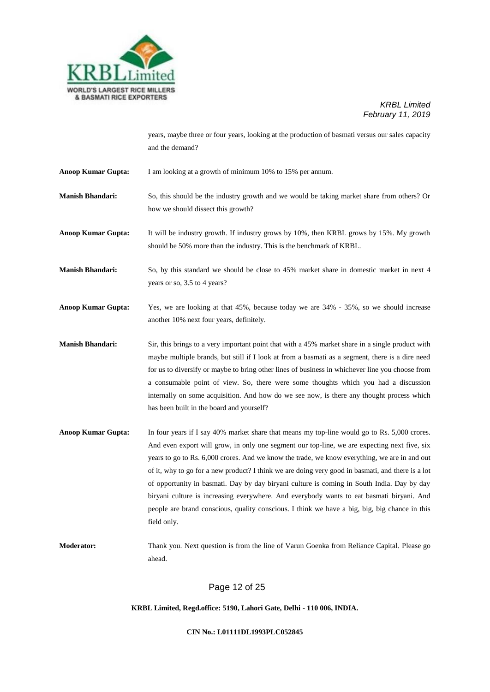

years, maybe three or four years, looking at the production of basmati versus our sales capacity and the demand?

- **Anoop Kumar Gupta:** I am looking at a growth of minimum 10% to 15% per annum.
- **Manish Bhandari:** So, this should be the industry growth and we would be taking market share from others? Or how we should dissect this growth?
- **Anoop Kumar Gupta:** It will be industry growth. If industry grows by 10%, then KRBL grows by 15%. My growth should be 50% more than the industry. This is the benchmark of KRBL.
- **Manish Bhandari:** So, by this standard we should be close to 45% market share in domestic market in next 4 years or so, 3.5 to 4 years?
- **Anoop Kumar Gupta:** Yes, we are looking at that 45%, because today we are 34% 35%, so we should increase another 10% next four years, definitely.
- **Manish Bhandari:** Sir, this brings to a very important point that with a 45% market share in a single product with maybe multiple brands, but still if I look at from a basmati as a segment, there is a dire need for us to diversify or maybe to bring other lines of business in whichever line you choose from a consumable point of view. So, there were some thoughts which you had a discussion internally on some acquisition. And how do we see now, is there any thought process which has been built in the board and yourself?
- **Anoop Kumar Gupta:** In four years if I say 40% market share that means my top-line would go to Rs. 5,000 crores. And even export will grow, in only one segment our top-line, we are expecting next five, six years to go to Rs. 6,000 crores. And we know the trade, we know everything, we are in and out of it, why to go for a new product? I think we are doing very good in basmati, and there is a lot of opportunity in basmati. Day by day biryani culture is coming in South India. Day by day biryani culture is increasing everywhere. And everybody wants to eat basmati biryani. And people are brand conscious, quality conscious. I think we have a big, big, big chance in this field only.
- **Moderator:** Thank you. Next question is from the line of Varun Goenka from Reliance Capital. Please go ahead.

Page 12 of 25

#### **KRBL Limited, Regd.office: 5190, Lahori Gate, Delhi - 110 006, INDIA.**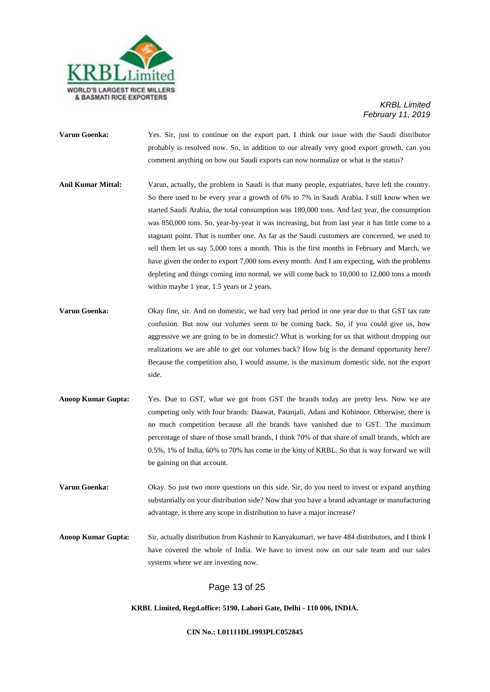

- **Varun Goenka:** Yes. Sir, just to continue on the export part. I think our issue with the Saudi distributor probably is resolved now. So, in addition to our already very good export growth, can you comment anything on how our Saudi exports can now normalize or what is the status?
- **Anil Kumar Mittal:** Varun, actually, the problem in Saudi is that many people, expatriates, have left the country. So there used to be every year a growth of 6% to 7% in Saudi Arabia. I still know when we started Saudi Arabia, the total consumption was 180,000 tons. And last year, the consumption was 850,000 tons. So, year-by-year it was increasing, but from last year it has little come to a stagnant point. That is number one. As far as the Saudi customers are concerned, we used to sell them let us say 5,000 tons a month. This is the first months in February and March, we have given the order to export 7,000 tons every month. And I am expecting, with the problems depleting and things coming into normal, we will come back to 10,000 to 12,000 tons a month within maybe 1 year, 1.5 years or 2 years.
- **Varun Goenka:** Okay fine, sir. And on domestic, we had very bad period in one year due to that GST tax rate confusion. But now our volumes seem to be coming back. So, if you could give us, how aggressive we are going to be in domestic? What is working for us that without dropping our realizations we are able to get our volumes back? How big is the demand opportunity here? Because the competition also, I would assume, is the maximum domestic side, not the export side.
- **Anoop Kumar Gupta:** Yes. Due to GST, what we got from GST the brands today are pretty less. Now we are competing only with four brands: Daawat, Patanjali, Adani and Kohinoor. Otherwise, there is no much competition because all the brands have vanished due to GST. The maximum percentage of share of those small brands, I think 70% of that share of small brands, which are 0.5%, 1% of India, 60% to 70% has come in the kitty of KRBL. So that is way forward we will be gaining on that account.

**Varun Goenka:** Okay. So just two more questions on this side. Sir, do you need to invest or expand anything substantially on your distribution side? Now that you have a brand advantage or manufacturing advantage, is there any scope in distribution to have a major increase?

**Anoop Kumar Gupta:** Sir, actually distribution from Kashmir to Kanyakumari, we have 484 distributors, and I think I have covered the whole of India. We have to invest now on our sale team and our sales systems where we are investing now.

## Page 13 of 25

**KRBL Limited, Regd.office: 5190, Lahori Gate, Delhi - 110 006, INDIA.**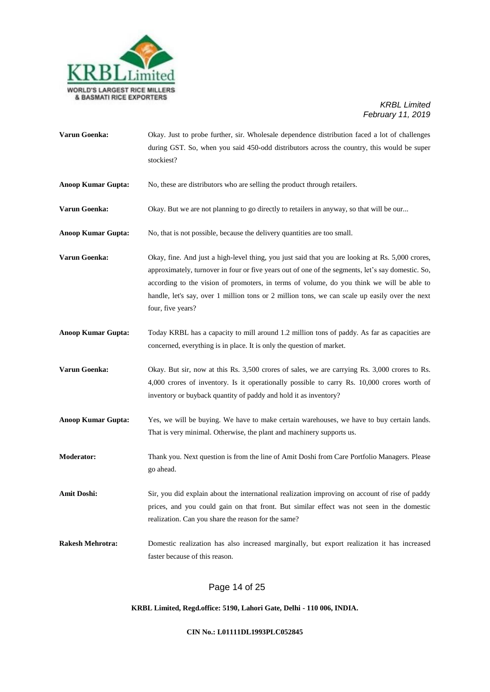

| Varun Goenka:             | Okay. Just to probe further, sir. Wholesale dependence distribution faced a lot of challenges<br>during GST. So, when you said 450-odd distributors across the country, this would be super<br>stockiest?                                                                                                                                                                                                                 |
|---------------------------|---------------------------------------------------------------------------------------------------------------------------------------------------------------------------------------------------------------------------------------------------------------------------------------------------------------------------------------------------------------------------------------------------------------------------|
| <b>Anoop Kumar Gupta:</b> | No, these are distributors who are selling the product through retailers.                                                                                                                                                                                                                                                                                                                                                 |
| Varun Goenka:             | Okay. But we are not planning to go directly to retailers in anyway, so that will be our                                                                                                                                                                                                                                                                                                                                  |
| <b>Anoop Kumar Gupta:</b> | No, that is not possible, because the delivery quantities are too small.                                                                                                                                                                                                                                                                                                                                                  |
| Varun Goenka:             | Okay, fine. And just a high-level thing, you just said that you are looking at Rs. 5,000 crores,<br>approximately, turnover in four or five years out of one of the segments, let's say domestic. So,<br>according to the vision of promoters, in terms of volume, do you think we will be able to<br>handle, let's say, over 1 million tons or 2 million tons, we can scale up easily over the next<br>four, five years? |
| <b>Anoop Kumar Gupta:</b> | Today KRBL has a capacity to mill around 1.2 million tons of paddy. As far as capacities are<br>concerned, everything is in place. It is only the question of market.                                                                                                                                                                                                                                                     |
| Varun Goenka:             | Okay. But sir, now at this Rs. 3,500 crores of sales, we are carrying Rs. 3,000 crores to Rs.<br>4,000 crores of inventory. Is it operationally possible to carry Rs. 10,000 crores worth of<br>inventory or buyback quantity of paddy and hold it as inventory?                                                                                                                                                          |
| <b>Anoop Kumar Gupta:</b> | Yes, we will be buying. We have to make certain warehouses, we have to buy certain lands.<br>That is very minimal. Otherwise, the plant and machinery supports us.                                                                                                                                                                                                                                                        |
| <b>Moderator:</b>         | Thank you. Next question is from the line of Amit Doshi from Care Portfolio Managers. Please<br>go ahead.                                                                                                                                                                                                                                                                                                                 |
| <b>Amit Doshi:</b>        | Sir, you did explain about the international realization improving on account of rise of paddy<br>prices, and you could gain on that front. But similar effect was not seen in the domestic<br>realization. Can you share the reason for the same?                                                                                                                                                                        |
| <b>Rakesh Mehrotra:</b>   | Domestic realization has also increased marginally, but export realization it has increased<br>faster because of this reason.                                                                                                                                                                                                                                                                                             |

# Page 14 of 25

**KRBL Limited, Regd.office: 5190, Lahori Gate, Delhi - 110 006, INDIA.**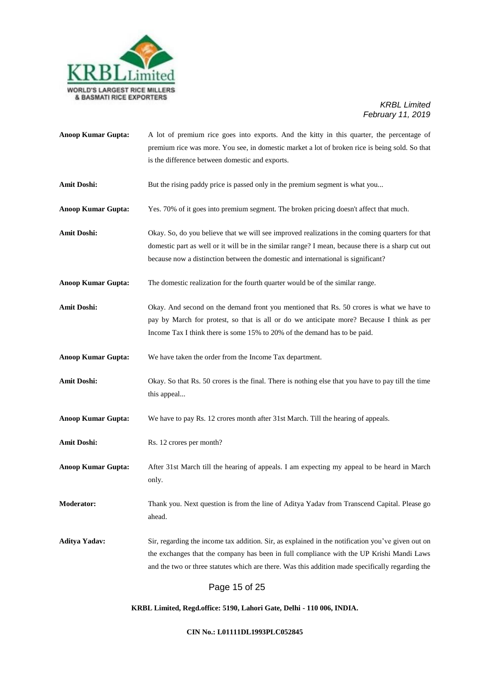

| <b>Anoop Kumar Gupta:</b> | A lot of premium rice goes into exports. And the kitty in this quarter, the percentage of<br>premium rice was more. You see, in domestic market a lot of broken rice is being sold. So that<br>is the difference between domestic and exports.                                                    |
|---------------------------|---------------------------------------------------------------------------------------------------------------------------------------------------------------------------------------------------------------------------------------------------------------------------------------------------|
| <b>Amit Doshi:</b>        | But the rising paddy price is passed only in the premium segment is what you                                                                                                                                                                                                                      |
| <b>Anoop Kumar Gupta:</b> | Yes. 70% of it goes into premium segment. The broken pricing doesn't affect that much.                                                                                                                                                                                                            |
| <b>Amit Doshi:</b>        | Okay. So, do you believe that we will see improved realizations in the coming quarters for that<br>domestic part as well or it will be in the similar range? I mean, because there is a sharp cut out<br>because now a distinction between the domestic and international is significant?         |
| <b>Anoop Kumar Gupta:</b> | The domestic realization for the fourth quarter would be of the similar range.                                                                                                                                                                                                                    |
| <b>Amit Doshi:</b>        | Okay. And second on the demand front you mentioned that Rs. 50 crores is what we have to<br>pay by March for protest, so that is all or do we anticipate more? Because I think as per<br>Income Tax I think there is some 15% to 20% of the demand has to be paid.                                |
| <b>Anoop Kumar Gupta:</b> | We have taken the order from the Income Tax department.                                                                                                                                                                                                                                           |
| <b>Amit Doshi:</b>        | Okay. So that Rs. 50 crores is the final. There is nothing else that you have to pay till the time<br>this appeal                                                                                                                                                                                 |
| <b>Anoop Kumar Gupta:</b> | We have to pay Rs. 12 crores month after 31st March. Till the hearing of appeals.                                                                                                                                                                                                                 |
| <b>Amit Doshi:</b>        | Rs. 12 crores per month?                                                                                                                                                                                                                                                                          |
| <b>Anoop Kumar Gupta:</b> | After 31st March till the hearing of appeals. I am expecting my appeal to be heard in March<br>only.                                                                                                                                                                                              |
| <b>Moderator:</b>         | Thank you. Next question is from the line of Aditya Yadav from Transcend Capital. Please go<br>ahead.                                                                                                                                                                                             |
| Aditya Yadav:             | Sir, regarding the income tax addition. Sir, as explained in the notification you've given out on<br>the exchanges that the company has been in full compliance with the UP Krishi Mandi Laws<br>and the two or three statutes which are there. Was this addition made specifically regarding the |
|                           | Page 15 of 25                                                                                                                                                                                                                                                                                     |

**KRBL Limited, Regd.office: 5190, Lahori Gate, Delhi - 110 006, INDIA.**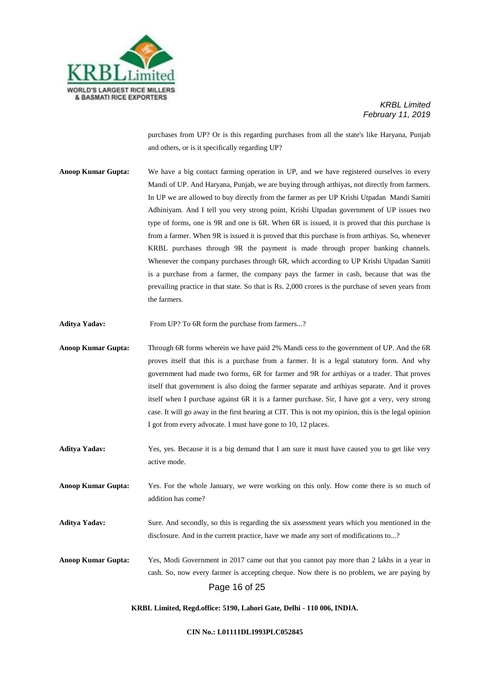

purchases from UP? Or is this regarding purchases from all the state's like Haryana, Punjab and others, or is it specifically regarding UP?

**Anoop Kumar Gupta:** We have a big contact farming operation in UP, and we have registered ourselves in every Mandi of UP. And Haryana, Punjab, we are buying through arthiyas, not directly from farmers. In UP we are allowed to buy directly from the farmer as per UP Krishi Utpadan Mandi Samiti Adhiniyam. And I tell you very strong point, Krishi Utpadan government of UP issues two type of forms, one is 9R and one is 6R. When 6R is issued, it is proved that this purchase is from a farmer. When 9R is issued it is proved that this purchase is from arthiyas. So, whenever KRBL purchases through 9R the payment is made through proper banking channels. Whenever the company purchases through 6R, which according to UP Krishi Utpadan Samiti is a purchase from a farmer, the company pays the farmer in cash, because that was the prevailing practice in that state. So that is Rs. 2,000 crores is the purchase of seven years from the farmers.

**Aditya Yadav:** From UP? To 6R form the purchase from farmers...?

- **Anoop Kumar Gupta:** Through 6R forms wherein we have paid 2% Mandi cess to the government of UP. And the 6R proves itself that this is a purchase from a farmer. It is a legal statutory form. And why government had made two forms, 6R for farmer and 9R for arthiyas or a trader. That proves itself that government is also doing the farmer separate and arthiyas separate. And it proves itself when I purchase against 6R it is a farmer purchase. Sir, I have got a very, very strong case. It will go away in the first hearing at CIT. This is not my opinion, this is the legal opinion I got from every advocate. I must have gone to 10, 12 places.
- **Aditya Yadav:** Yes, yes. Because it is a big demand that I am sure it must have caused you to get like very active mode.
- **Anoop Kumar Gupta:** Yes. For the whole January, we were working on this only. How come there is so much of addition has come?
- **Aditya Yadav:** Sure. And secondly, so this is regarding the six assessment years which you mentioned in the disclosure. And in the current practice, have we made any sort of modifications to...?

Page 16 of 25 **Anoop Kumar Gupta:** Yes, Modi Government in 2017 came out that you cannot pay more than 2 lakhs in a year in cash. So, now every farmer is accepting cheque. Now there is no problem, we are paying by

#### **KRBL Limited, Regd.office: 5190, Lahori Gate, Delhi - 110 006, INDIA.**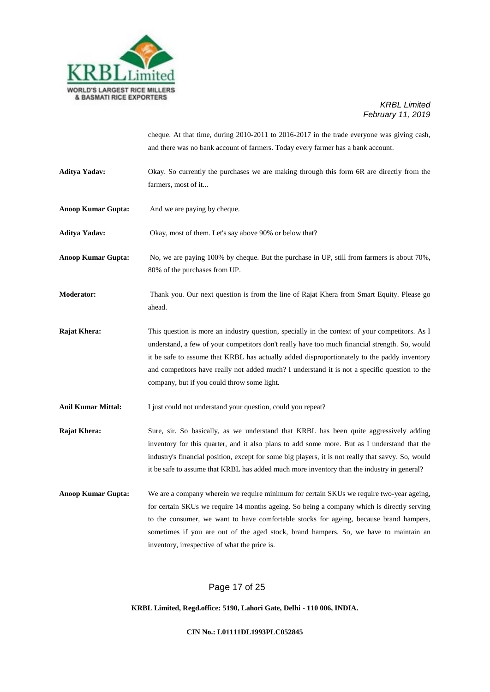

cheque. At that time, during 2010-2011 to 2016-2017 in the trade everyone was giving cash, and there was no bank account of farmers. Today every farmer has a bank account.

- **Aditya Yadav:** Okay. So currently the purchases we are making through this form 6R are directly from the farmers, most of it...
- **Anoop Kumar Gupta:** And we are paying by cheque.

Aditya Yadav: Okay, most of them. Let's say above 90% or below that?

**Anoop Kumar Gupta:** No, we are paying 100% by cheque. But the purchase in UP, still from farmers is about 70%, 80% of the purchases from UP.

**Moderator:** Thank you. Our next question is from the line of Rajat Khera from Smart Equity. Please go ahead.

**Rajat Khera:** This question is more an industry question, specially in the context of your competitors. As I understand, a few of your competitors don't really have too much financial strength. So, would it be safe to assume that KRBL has actually added disproportionately to the paddy inventory and competitors have really not added much? I understand it is not a specific question to the company, but if you could throw some light.

Anil Kumar Mittal: I just could not understand your question, could you repeat?

**Rajat Khera:** Sure, sir. So basically, as we understand that KRBL has been quite aggressively adding inventory for this quarter, and it also plans to add some more. But as I understand that the industry's financial position, except for some big players, it is not really that savvy. So, would it be safe to assume that KRBL has added much more inventory than the industry in general?

**Anoop Kumar Gupta:** We are a company wherein we require minimum for certain SKUs we require two-year ageing, for certain SKUs we require 14 months ageing. So being a company which is directly serving to the consumer, we want to have comfortable stocks for ageing, because brand hampers, sometimes if you are out of the aged stock, brand hampers. So, we have to maintain an inventory, irrespective of what the price is.

## Page 17 of 25

**KRBL Limited, Regd.office: 5190, Lahori Gate, Delhi - 110 006, INDIA.**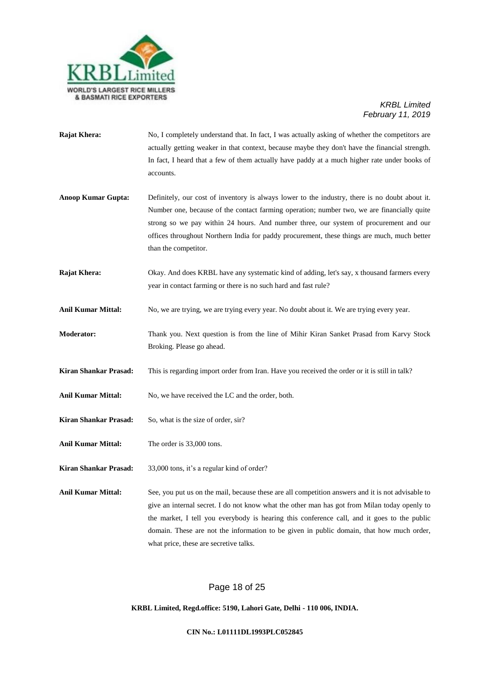

- **Rajat Khera:** No, I completely understand that. In fact, I was actually asking of whether the competitors are actually getting weaker in that context, because maybe they don't have the financial strength. In fact, I heard that a few of them actually have paddy at a much higher rate under books of accounts.
- **Anoop Kumar Gupta:** Definitely, our cost of inventory is always lower to the industry, there is no doubt about it. Number one, because of the contact farming operation; number two, we are financially quite strong so we pay within 24 hours. And number three, our system of procurement and our offices throughout Northern India for paddy procurement, these things are much, much better than the competitor.
- **Rajat Khera:** Okay. And does KRBL have any systematic kind of adding, let's say, x thousand farmers every year in contact farming or there is no such hard and fast rule?
- **Anil Kumar Mittal:** No, we are trying, we are trying every year. No doubt about it. We are trying every year.
- **Moderator:** Thank you. Next question is from the line of Mihir Kiran Sanket Prasad from Karvy Stock Broking. Please go ahead.
- **Kiran Shankar Prasad:** This is regarding import order from Iran. Have you received the order or it is still in talk?
- Anil Kumar Mittal: No, we have received the LC and the order, both.
- **Kiran Shankar Prasad:** So, what is the size of order, sir?
- **Anil Kumar Mittal:** The order is 33,000 tons.

**Kiran Shankar Prasad:** 33,000 tons, it's a regular kind of order?

Anil Kumar Mittal: See, you put us on the mail, because these are all competition answers and it is not advisable to give an internal secret. I do not know what the other man has got from Milan today openly to the market, I tell you everybody is hearing this conference call, and it goes to the public domain. These are not the information to be given in public domain, that how much order, what price, these are secretive talks.

## Page 18 of 25

#### **KRBL Limited, Regd.office: 5190, Lahori Gate, Delhi - 110 006, INDIA.**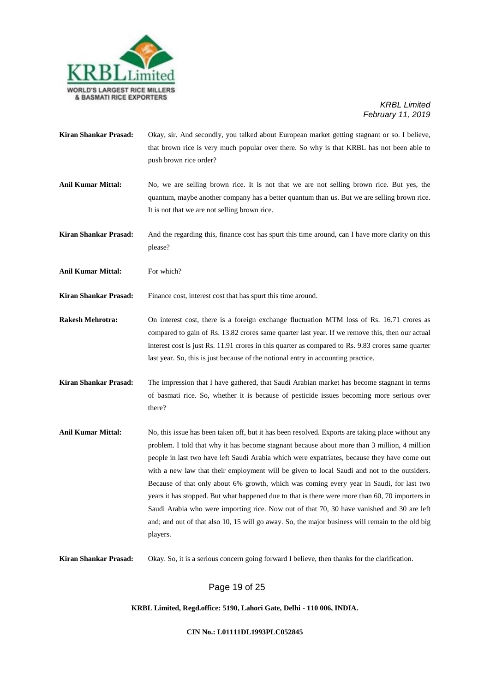

- **Kiran Shankar Prasad:** Okay, sir. And secondly, you talked about European market getting stagnant or so. I believe, that brown rice is very much popular over there. So why is that KRBL has not been able to push brown rice order?
- **Anil Kumar Mittal:** No, we are selling brown rice. It is not that we are not selling brown rice. But yes, the quantum, maybe another company has a better quantum than us. But we are selling brown rice. It is not that we are not selling brown rice.
- **Kiran Shankar Prasad:** And the regarding this, finance cost has spurt this time around, can I have more clarity on this please?
- Anil Kumar Mittal: For which?

**Kiran Shankar Prasad:** Finance cost, interest cost that has spurt this time around.

- **Rakesh Mehrotra:** On interest cost, there is a foreign exchange fluctuation MTM loss of Rs. 16.71 crores as compared to gain of Rs. 13.82 crores same quarter last year. If we remove this, then our actual interest cost is just Rs. 11.91 crores in this quarter as compared to Rs. 9.83 crores same quarter last year. So, this is just because of the notional entry in accounting practice.
- **Kiran Shankar Prasad:** The impression that I have gathered, that Saudi Arabian market has become stagnant in terms of basmati rice. So, whether it is because of pesticide issues becoming more serious over there?
- Anil Kumar Mittal: No, this issue has been taken off, but it has been resolved. Exports are taking place without any problem. I told that why it has become stagnant because about more than 3 million, 4 million people in last two have left Saudi Arabia which were expatriates, because they have come out with a new law that their employment will be given to local Saudi and not to the outsiders. Because of that only about 6% growth, which was coming every year in Saudi, for last two years it has stopped. But what happened due to that is there were more than 60, 70 importers in Saudi Arabia who were importing rice. Now out of that 70, 30 have vanished and 30 are left and; and out of that also 10, 15 will go away. So, the major business will remain to the old big players.

**Kiran Shankar Prasad:** Okay. So, it is a serious concern going forward I believe, then thanks for the clarification.

## Page 19 of 25

**KRBL Limited, Regd.office: 5190, Lahori Gate, Delhi - 110 006, INDIA.**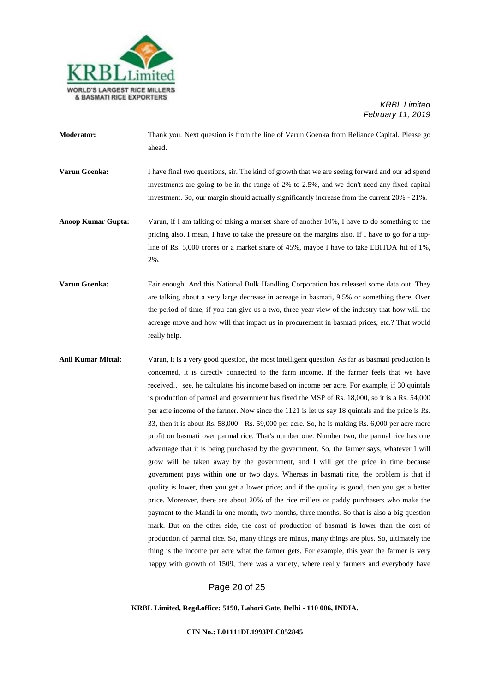

**Moderator:** Thank you. Next question is from the line of Varun Goenka from Reliance Capital. Please go ahead.

**Varun Goenka:** I have final two questions, sir. The kind of growth that we are seeing forward and our ad spend investments are going to be in the range of 2% to 2.5%, and we don't need any fixed capital investment. So, our margin should actually significantly increase from the current 20% - 21%.

- **Anoop Kumar Gupta:** Varun, if I am talking of taking a market share of another 10%, I have to do something to the pricing also. I mean, I have to take the pressure on the margins also. If I have to go for a topline of Rs. 5,000 crores or a market share of 45%, maybe I have to take EBITDA hit of 1%, 2%.
- **Varun Goenka:** Fair enough. And this National Bulk Handling Corporation has released some data out. They are talking about a very large decrease in acreage in basmati, 9.5% or something there. Over the period of time, if you can give us a two, three-year view of the industry that how will the acreage move and how will that impact us in procurement in basmati prices, etc.? That would really help.
- **Anil Kumar Mittal:** Varun, it is a very good question, the most intelligent question. As far as basmati production is concerned, it is directly connected to the farm income. If the farmer feels that we have received… see, he calculates his income based on income per acre. For example, if 30 quintals is production of parmal and government has fixed the MSP of Rs. 18,000, so it is a Rs. 54,000 per acre income of the farmer. Now since the 1121 is let us say 18 quintals and the price is Rs. 33, then it is about Rs. 58,000 - Rs. 59,000 per acre. So, he is making Rs. 6,000 per acre more profit on basmati over parmal rice. That's number one. Number two, the parmal rice has one advantage that it is being purchased by the government. So, the farmer says, whatever I will grow will be taken away by the government, and I will get the price in time because government pays within one or two days. Whereas in basmati rice, the problem is that if quality is lower, then you get a lower price; and if the quality is good, then you get a better price. Moreover, there are about 20% of the rice millers or paddy purchasers who make the payment to the Mandi in one month, two months, three months. So that is also a big question mark. But on the other side, the cost of production of basmati is lower than the cost of production of parmal rice. So, many things are minus, many things are plus. So, ultimately the thing is the income per acre what the farmer gets. For example, this year the farmer is very happy with growth of 1509, there was a variety, where really farmers and everybody have

## Page 20 of 25

**KRBL Limited, Regd.office: 5190, Lahori Gate, Delhi - 110 006, INDIA.**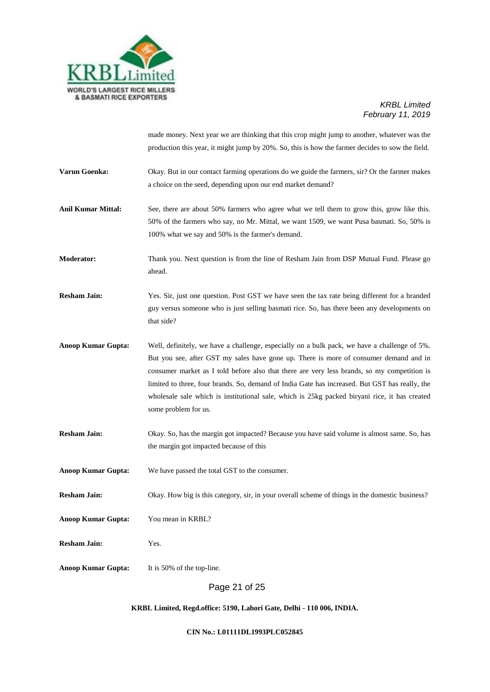

made money. Next year we are thinking that this crop might jump to another, whatever was the production this year, it might jump by 20%. So, this is how the farmer decides to sow the field.

- **Varun Goenka:** Okay. But in our contact farming operations do we guide the farmers, sir? Or the farmer makes a choice on the seed, depending upon our end market demand?
- **Anil Kumar Mittal:** See, there are about 50% farmers who agree what we tell them to grow this, grow like this. 50% of the farmers who say, no Mr. Mittal, we want 1509, we want Pusa basmati. So, 50% is 100% what we say and 50% is the farmer's demand.

**Moderator:** Thank you. Next question is from the line of Resham Jain from DSP Mutual Fund. Please go ahead.

**Resham Jain:** Yes. Sir, just one question. Post GST we have seen the tax rate being different for a branded guy versus someone who is just selling basmati rice. So, has there been any developments on that side?

- **Anoop Kumar Gupta:** Well, definitely, we have a challenge, especially on a bulk pack, we have a challenge of 5%. But you see, after GST my sales have gone up. There is more of consumer demand and in consumer market as I told before also that there are very less brands, so my competition is limited to three, four brands. So, demand of India Gate has increased. But GST has really, the wholesale sale which is institutional sale, which is 25kg packed biryani rice, it has created some problem for us.
- **Resham Jain:** Okay. So, has the margin got impacted? Because you have said volume is almost same. So, has the margin got impacted because of this
- **Anoop Kumar Gupta:** We have passed the total GST to the consumer.

**Resham Jain:** Okay. How big is this category, sir, in your overall scheme of things in the domestic business?

- **Anoop Kumar Gupta:** You mean in KRBL?
- **Resham Jain:** Yes.
- **Anoop Kumar Gupta:** It is 50% of the top-line.

Page 21 of 25

#### **KRBL Limited, Regd.office: 5190, Lahori Gate, Delhi - 110 006, INDIA.**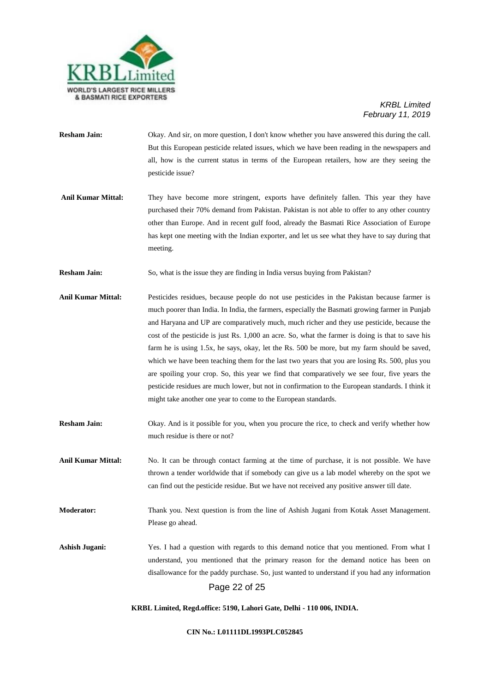

- **Resham Jain:** Okay. And sir, on more question, I don't know whether you have answered this during the call. But this European pesticide related issues, which we have been reading in the newspapers and all, how is the current status in terms of the European retailers, how are they seeing the pesticide issue?
- **Anil Kumar Mittal:** They have become more stringent, exports have definitely fallen. This year they have purchased their 70% demand from Pakistan. Pakistan is not able to offer to any other country other than Europe. And in recent gulf food, already the Basmati Rice Association of Europe has kept one meeting with the Indian exporter, and let us see what they have to say during that meeting.
- **Resham Jain:** So, what is the issue they are finding in India versus buying from Pakistan?
- **Anil Kumar Mittal:** Pesticides residues, because people do not use pesticides in the Pakistan because farmer is much poorer than India. In India, the farmers, especially the Basmati growing farmer in Punjab and Haryana and UP are comparatively much, much richer and they use pesticide, because the cost of the pesticide is just Rs. 1,000 an acre. So, what the farmer is doing is that to save his farm he is using 1.5x, he says, okay, let the Rs. 500 be more, but my farm should be saved, which we have been teaching them for the last two years that you are losing Rs. 500, plus you are spoiling your crop. So, this year we find that comparatively we see four, five years the pesticide residues are much lower, but not in confirmation to the European standards. I think it might take another one year to come to the European standards.
- **Resham Jain:** Okay. And is it possible for you, when you procure the rice, to check and verify whether how much residue is there or not?
- **Anil Kumar Mittal:** No. It can be through contact farming at the time of purchase, it is not possible. We have thrown a tender worldwide that if somebody can give us a lab model whereby on the spot we can find out the pesticide residue. But we have not received any positive answer till date.
- **Moderator:** Thank you. Next question is from the line of Ashish Jugani from Kotak Asset Management. Please go ahead.

Page 22 of 25 **Ashish Jugani:** Yes. I had a question with regards to this demand notice that you mentioned. From what I understand, you mentioned that the primary reason for the demand notice has been on disallowance for the paddy purchase. So, just wanted to understand if you had any information

**KRBL Limited, Regd.office: 5190, Lahori Gate, Delhi - 110 006, INDIA.**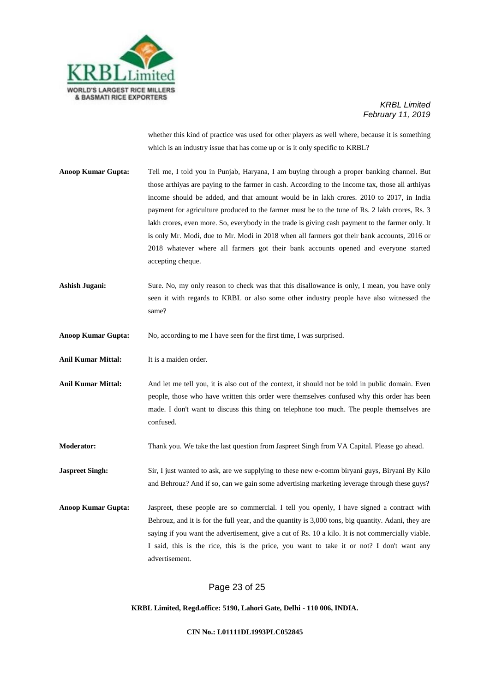

whether this kind of practice was used for other players as well where, because it is something which is an industry issue that has come up or is it only specific to KRBL?

- **Anoop Kumar Gupta:** Tell me, I told you in Punjab, Haryana, I am buying through a proper banking channel. But those arthiyas are paying to the farmer in cash. According to the Income tax, those all arthiyas income should be added, and that amount would be in lakh crores. 2010 to 2017, in India payment for agriculture produced to the farmer must be to the tune of Rs. 2 lakh crores, Rs. 3 lakh crores, even more. So, everybody in the trade is giving cash payment to the farmer only. It is only Mr. Modi, due to Mr. Modi in 2018 when all farmers got their bank accounts, 2016 or 2018 whatever where all farmers got their bank accounts opened and everyone started accepting cheque.
- **Ashish Jugani:** Sure. No, my only reason to check was that this disallowance is only, I mean, you have only seen it with regards to KRBL or also some other industry people have also witnessed the same?

**Anoop Kumar Gupta:** No, according to me I have seen for the first time, I was surprised.

**Anil Kumar Mittal:** It is a maiden order.

Anil Kumar Mittal: And let me tell you, it is also out of the context, it should not be told in public domain. Even people, those who have written this order were themselves confused why this order has been made. I don't want to discuss this thing on telephone too much. The people themselves are confused.

**Moderator:** Thank you. We take the last question from Jaspreet Singh from VA Capital. Please go ahead.

**Jaspreet Singh:** Sir, I just wanted to ask, are we supplying to these new e-comm biryani guys, Biryani By Kilo and Behrouz? And if so, can we gain some advertising marketing leverage through these guys?

**Anoop Kumar Gupta:** Jaspreet, these people are so commercial. I tell you openly, I have signed a contract with Behrouz, and it is for the full year, and the quantity is 3,000 tons, big quantity. Adani, they are saying if you want the advertisement, give a cut of Rs. 10 a kilo. It is not commercially viable. I said, this is the rice, this is the price, you want to take it or not? I don't want any advertisement.

## Page 23 of 25

**KRBL Limited, Regd.office: 5190, Lahori Gate, Delhi - 110 006, INDIA.**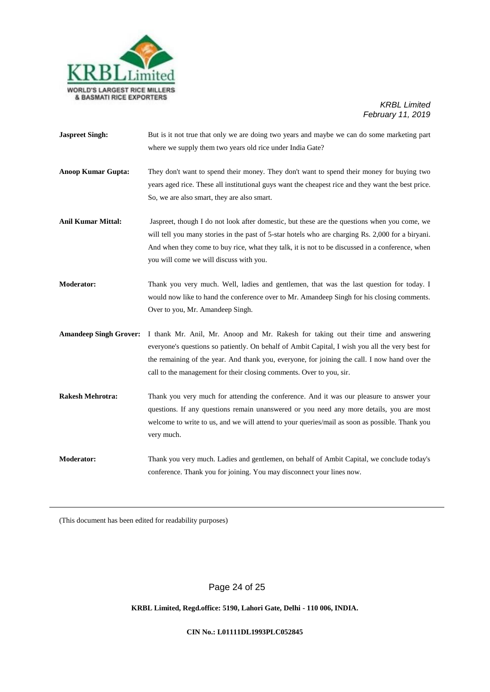

**Jaspreet Singh:** But is it not true that only we are doing two years and maybe we can do some marketing part where we supply them two years old rice under India Gate?

**Anoop Kumar Gupta:** They don't want to spend their money. They don't want to spend their money for buying two years aged rice. These all institutional guys want the cheapest rice and they want the best price. So, we are also smart, they are also smart.

- **Anil Kumar Mittal:** Jaspreet, though I do not look after domestic, but these are the questions when you come, we will tell you many stories in the past of 5-star hotels who are charging Rs. 2,000 for a biryani. And when they come to buy rice, what they talk, it is not to be discussed in a conference, when you will come we will discuss with you.
- **Moderator:** Thank you very much. Well, ladies and gentlemen, that was the last question for today. I would now like to hand the conference over to Mr. Amandeep Singh for his closing comments. Over to you, Mr. Amandeep Singh.
- **Amandeep Singh Grover:** I thank Mr. Anil, Mr. Anoop and Mr. Rakesh for taking out their time and answering everyone's questions so patiently. On behalf of Ambit Capital, I wish you all the very best for the remaining of the year. And thank you, everyone, for joining the call. I now hand over the call to the management for their closing comments. Over to you, sir.
- **Rakesh Mehrotra:** Thank you very much for attending the conference. And it was our pleasure to answer your questions. If any questions remain unanswered or you need any more details, you are most welcome to write to us, and we will attend to your queries/mail as soon as possible. Thank you very much.
- **Moderator:** Thank you very much. Ladies and gentlemen, on behalf of Ambit Capital, we conclude today's conference. Thank you for joining. You may disconnect your lines now.

(This document has been edited for readability purposes)

Page 24 of 25

## **KRBL Limited, Regd.office: 5190, Lahori Gate, Delhi - 110 006, INDIA.**